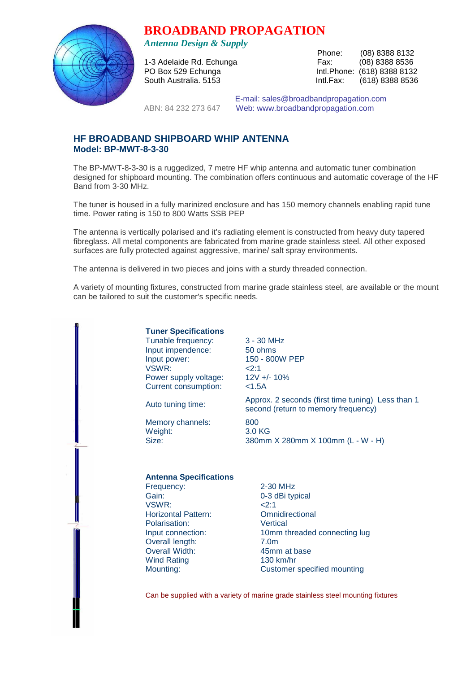# **BROADBAND PROPAGATION**



*Antenna Design & Supply* 

 Phone: (08) 8388 8132 1-3 Adelaide Rd. Echunga Fax: (08) 8388 8536 PO Box 529 Echunga **Intl.Phone:** (618) 8388 8132 South Australia. 5153 Intl.Fax: (618) 8388 8536

 E-mail: sales@broadbandpropagation.com ABN: 84 232 273 647 Web: www.broadbandpropagation.com

# **HF BROADBAND SHIPBOARD WHIP ANTENNA Model: BP-MWT-8-3-30**

The BP-MWT-8-3-30 is a ruggedized, 7 metre HF whip antenna and automatic tuner combination designed for shipboard mounting. The combination offers continuous and automatic coverage of the HF Band from 3-30 MHz.

The tuner is housed in a fully marinized enclosure and has 150 memory channels enabling rapid tune time. Power rating is 150 to 800 Watts SSB PEP

The antenna is vertically polarised and it's radiating element is constructed from heavy duty tapered fibreglass. All metal components are fabricated from marine grade stainless steel. All other exposed surfaces are fully protected against aggressive, marine/ salt spray environments.

The antenna is delivered in two pieces and joins with a sturdy threaded connection.

A variety of mounting fixtures, constructed from marine grade stainless steel, are available or the mount can be tailored to suit the customer's specific needs.

> **Tuner Specifications** Tunable frequency: 3 - 30 MHz Input impendence: 50 ohms Input power: 150 - 800W PEP  $VSWR$ :  $\leq$  2:1 Power supply voltage: 12V +/- 10% Current consumption: <1.5A

Memory channels: 800 Weight: 3.0 KG

Auto tuning time: Approx. 2 seconds (first time tuning) Less than 1 second (return to memory frequency)

Size: 380mm X 280mm X 100mm (L - W - H)

#### **Antenna Specifications**

Frequency: 2-30 MHz Gain: 0-3 dBi typical VSWR: <2:1 Horizontal Pattern: Omnidirectional Polarisation: Vertical Overall length: 7.0m Overall Width: 45mm at base Wind Rating 130 km/hr

Input connection: 10mm threaded connecting lug Mounting: Customer specified mounting

Can be supplied with a variety of marine grade stainless steel mounting fixtures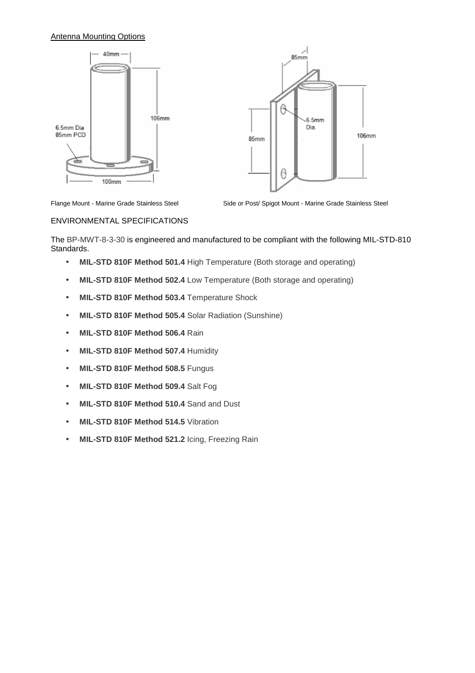## Antenna Mounting Options





Flange Mount - Marine Grade Stainless Steel

Side or Post/ Spigot Mount - Marine Grade Stainless Steel

#### ENVIRONMENTAL SPECIFICATIONS

The BP-MWT-8-3-30 is engineered and manufactured to be compliant with the following MIL-STD-810 Standards.

- **MIL-STD 810F Method 501.4** High Temperature (Both storage and operating)
- **MIL-STD 810F Method 502.4** Low Temperature (Both storage and operating)
- **MIL-STD 810F Method 503.4** Temperature Shock
- **MIL-STD 810F Method 505.4** Solar Radiation (Sunshine)
- **MIL-STD 810F Method 506.4** Rain
- **MIL-STD 810F Method 507.4** Humidity
- **MIL-STD 810F Method 508.5** Fungus
- **MIL-STD 810F Method 509.4** Salt Fog
- **MIL-STD 810F Method 510.4** Sand and Dust
- **MIL-STD 810F Method 514.5** Vibration
- **MIL-STD 810F Method 521.2** Icing, Freezing Rain